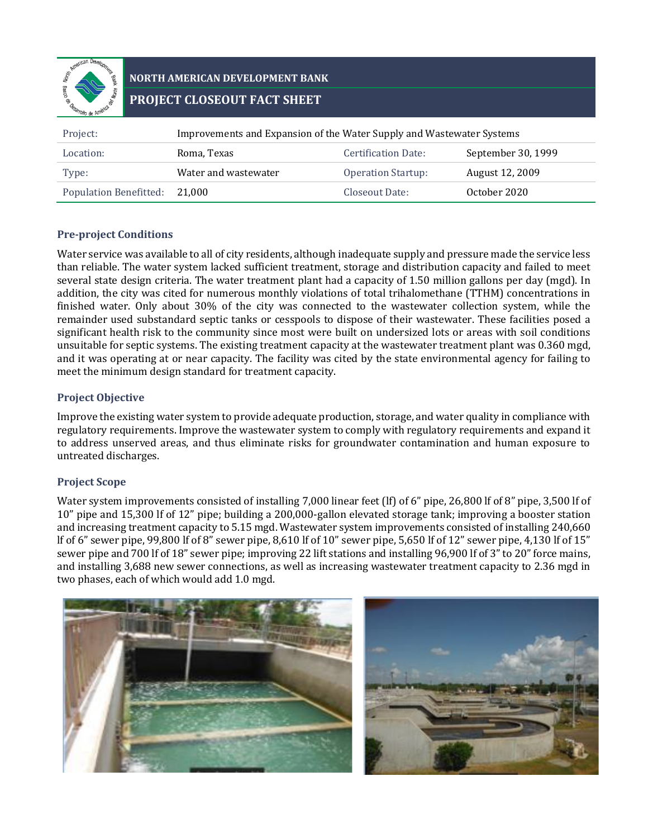

# **NORTH AMERICAN DEVELOPMENT BANK PROJECT CLOSEOUT FACT SHEET**

| Project:                      | Improvements and Expansion of the Water Supply and Wastewater Systems |                           |                    |  |
|-------------------------------|-----------------------------------------------------------------------|---------------------------|--------------------|--|
| Location:                     | Roma, Texas                                                           | Certification Date:       | September 30, 1999 |  |
| Type:                         | Water and wastewater                                                  | <b>Operation Startup:</b> | August 12, 2009    |  |
| <b>Population Benefitted:</b> | 21.000                                                                | Closeout Date:            | October 2020       |  |

### **Pre-project Conditions**

Water service was available to all of city residents, although inadequate supply and pressure made the service less than reliable. The water system lacked sufficient treatment, storage and distribution capacity and failed to meet several state design criteria. The water treatment plant had a capacity of 1.50 million gallons per day (mgd). In addition, the city was cited for numerous monthly violations of total trihalomethane (TTHM) concentrations in finished water. Only about 30% of the city was connected to the wastewater collection system, while the remainder used substandard septic tanks or cesspools to dispose of their wastewater. These facilities posed a significant health risk to the community since most were built on undersized lots or areas with soil conditions unsuitable for septic systems. The existing treatment capacity at the wastewater treatment plant was 0.360 mgd, and it was operating at or near capacity. The facility was cited by the state environmental agency for failing to meet the minimum design standard for treatment capacity.

### **Project Objective**

Improve the existing water system to provide adequate production, storage, and water quality in compliance with regulatory requirements. Improve the wastewater system to comply with regulatory requirements and expand it to address unserved areas, and thus eliminate risks for groundwater contamination and human exposure to untreated discharges.

## **Project Scope**

Water system improvements consisted of installing 7,000 linear feet (lf) of 6" pipe, 26,800 lf of 8" pipe, 3,500 lf of 10" pipe and 15,300 lf of 12" pipe; building a 200,000-gallon elevated storage tank; improving a booster station and increasing treatment capacity to 5.15 mgd. Wastewater system improvements consisted of installing 240,660 lf of 6" sewer pipe, 99,800 lf of 8" sewer pipe, 8,610 lf of 10" sewer pipe, 5,650 lf of 12" sewer pipe, 4,130 lf of 15" sewer pipe and 700 lf of 18" sewer pipe; improving 22 lift stations and installing 96,900 lf of 3" to 20" force mains, and installing 3,688 new sewer connections, as well as increasing wastewater treatment capacity to 2.36 mgd in two phases, each of which would add 1.0 mgd.